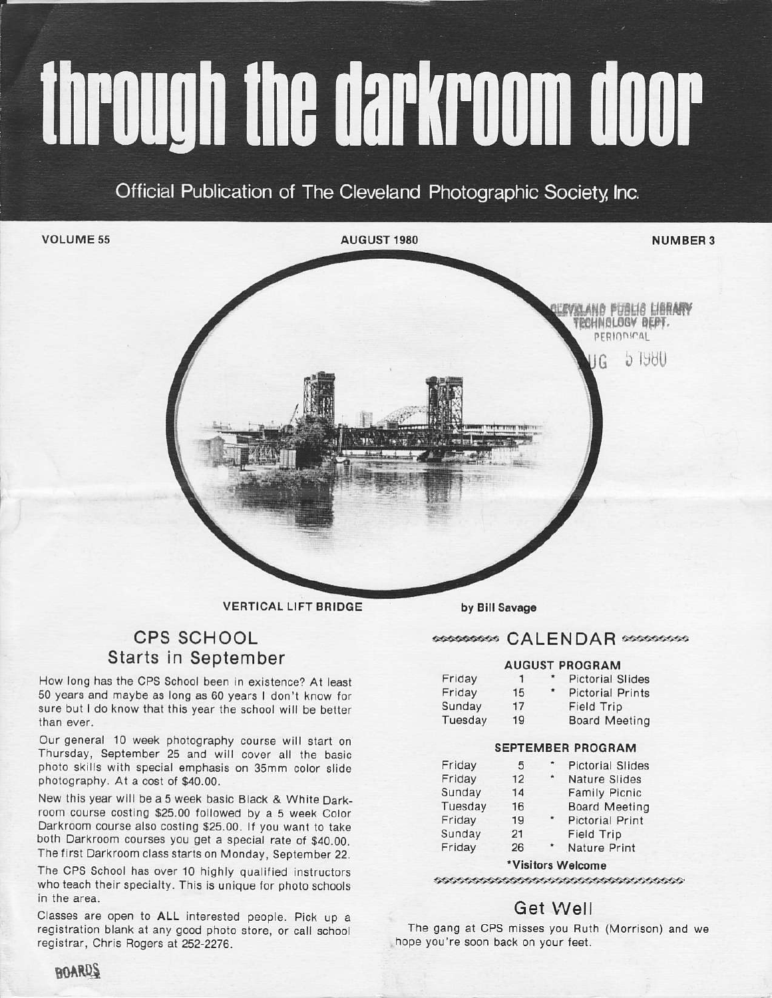# through the darkroom door

Official Publication of The Cleveland Photographic Society, Inc.

VOLUME 55

AUGUST 1980



levrland funlig Library TECHNOLOGY DEPT. **PERIODICAL** 

> .) tijdt]  $IG$

VERTICAL LIFT BRIDGE

# CPS SCHOOL Starts in September

How long has the CPS School been in existence? At least 50 years and maybe as long as 60 years I don't know for sure but I do know that this year the school will be better than ever.

Our general 10 week photography course will start on Thursday, Seplember 25 and will cover all ihe basjc photo skills with special emphasis on 35mm color slide pholography. at a cost of \$40.00.

New this year will be a 5 week basic Black & White Darkroom course costing \$25.00 followed by a 5 week Color Darkroom course also costing \$25.00. If you want to take both Darkroom courses you get a special rate of \$40.00. The first Darkroom class starts on Monday, September 22,

The CPS School has over 10 highly qualified instructors who teach their specialty. This is unique for photo schools in the area.

Classes are open to ALL interesled people. Pick up a registration blank at any good photo store, or call school registrar, Chris Rogers at 252-2276.

by Bill Savage

#### ossosososs CALENDAR sposososos

#### AUGUST PROGRAM

| Friday  | п  | $\star$       | <b>Pictorial Slides</b> |
|---------|----|---------------|-------------------------|
| Friday  | 15 | $\pmb{\star}$ | <b>Pictorial Prints</b> |
| Sunday  | 17 |               | Field Trip              |
| Tuesday | 19 |               | <b>Board Meeting</b>    |
|         |    |               |                         |

#### SEPTEMBER PROGRAM

| Friday  | 5  | œ.                 | <b>Pictorial Slides</b> |
|---------|----|--------------------|-------------------------|
| Friday  | 12 | $\hat{\mathbf{R}}$ | Nature Slides           |
| Sunday  | 14 |                    | <b>Family Picnic</b>    |
| Tuesday | 16 |                    | <b>Board Meeting</b>    |
| Friday  | 19 |                    | <b>Pictorial Print</b>  |
| Sunday  | 21 |                    | Field Trip              |
| Friday  | 26 |                    | Nature Print            |
|         |    |                    |                         |

#### \*Visitors Welcome

# Get Well

The gang at CPS misses you Ruth (Morrison) and we hope you're soon back on your feet.

**HOARDS**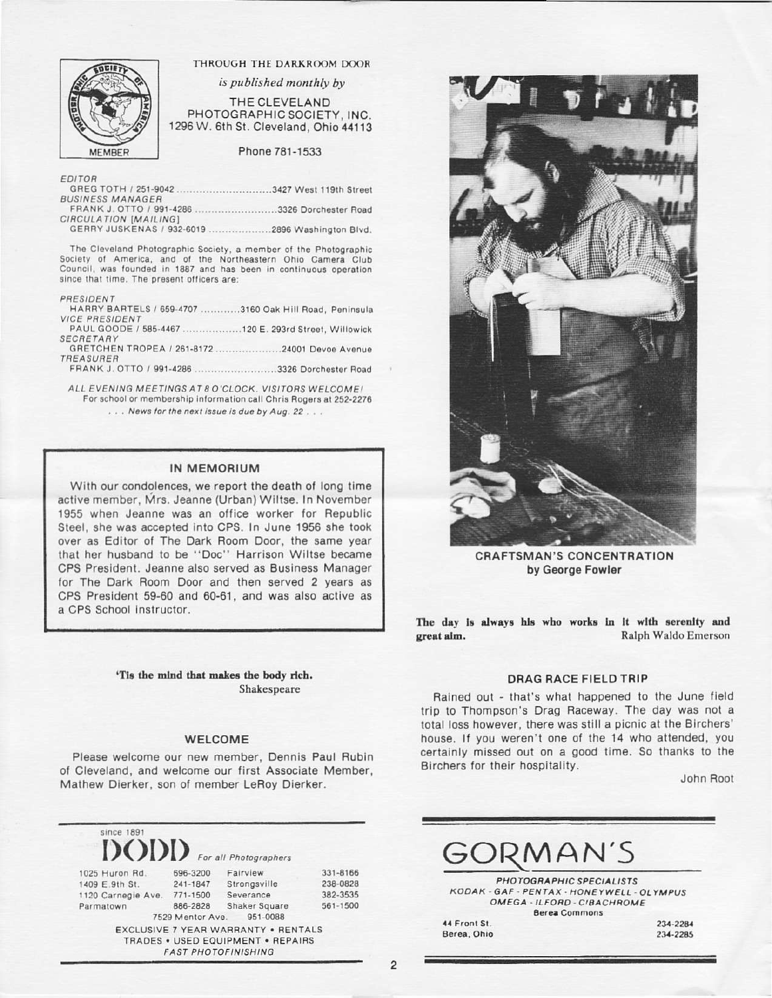

#### THROUGH THE DARKROOM DOOR

is published monthly by

THE CLEVELAND PHOTOGRAPHIC SOCIETY, INC. 1296 W. 6th St. Cleveland, Ohio 44113

Phone 781-1533

EDITOR

|                         | GREG TOTH / 251-9042 3427 West 119th Street |  |  |
|-------------------------|---------------------------------------------|--|--|
| <b>BUSINESS MANAGER</b> |                                             |  |  |
|                         |                                             |  |  |

FRANK J. OTTO / 991-4286 ..........................3326 Dorchester Road CIRCULATION [MAILING]

GERRY JUSKENAS / 932-6019 ......................2896 Washington Blvd.

The Cleveland Photographic Society, a member of the Photographic Society of America, and of the Northeastern Ohio Camera Club Council, was founded in 1887 and has been in continuous operation since that time. The present officers are:

#### PRESIDENT

|                       | HARRY BARTELS / 659-4707 3160 Oak Hill Road, Peninsula |
|-----------------------|--------------------------------------------------------|
| <b>VICE PRESIDENT</b> |                                                        |
|                       | PAUL GOODE / 585-4467 120 E. 293rd Street, Willowick   |
| SECRETARY             |                                                        |
|                       |                                                        |
| <b>TREASURER</b>      |                                                        |
|                       | FRANK J. OTTO / 991-4286 3326 Dorchester Road          |
|                       | ALL EVENING MEETINGS AT ROICLOCK WISITORS WELCOMEL     |

NING MEETINGS AT 8 O'CLOCK. VISITORS WELCOME: For school or membership information call Chris Rogers at 252-2276 ... News for the next issue is due by Aug. 22...

#### IN MEMORIUM

With our condolences, we report the death of long time active member, Mrs. Jeanne (Urban) Wiltse, In November 1955 when Jeanne was an office worker for Republic Steel, she was accepted into CPS. In June 1956 she took over as Editor of The Dark Room Door, the same year that her husband to be "Doc" Harrison Wiltse became CPS President. Jeanne also served as Business Manager for The Dark Room Door and then served 2 years as CPS President 59-60 and 60-61, and was also active as a CPS School instructor.

> 'Tis the mind that makes the body rich. Shakespeare

#### **WELCOME**

Please welcome our new member, Dennis Paul Rubin of Cleveland, and welcome our first Associate Member, Mathew Dierker, son of member LeRoy Dierker.





**CRAFTSMAN'S CONCENTRATION** by George Fowler

The day is always his who works in it with serenity and Ralph Waldo Emerson great aim.

#### **DRAG RACE FIELD TRIP**

Rained out - that's what happened to the June field trip to Thompson's Drag Raceway. The day was not a total loss however, there was still a picnic at the Birchers' house. If you weren't one of the 14 who attended, you certainly missed out on a good time. So thanks to the Birchers for their hospitality.

John Root

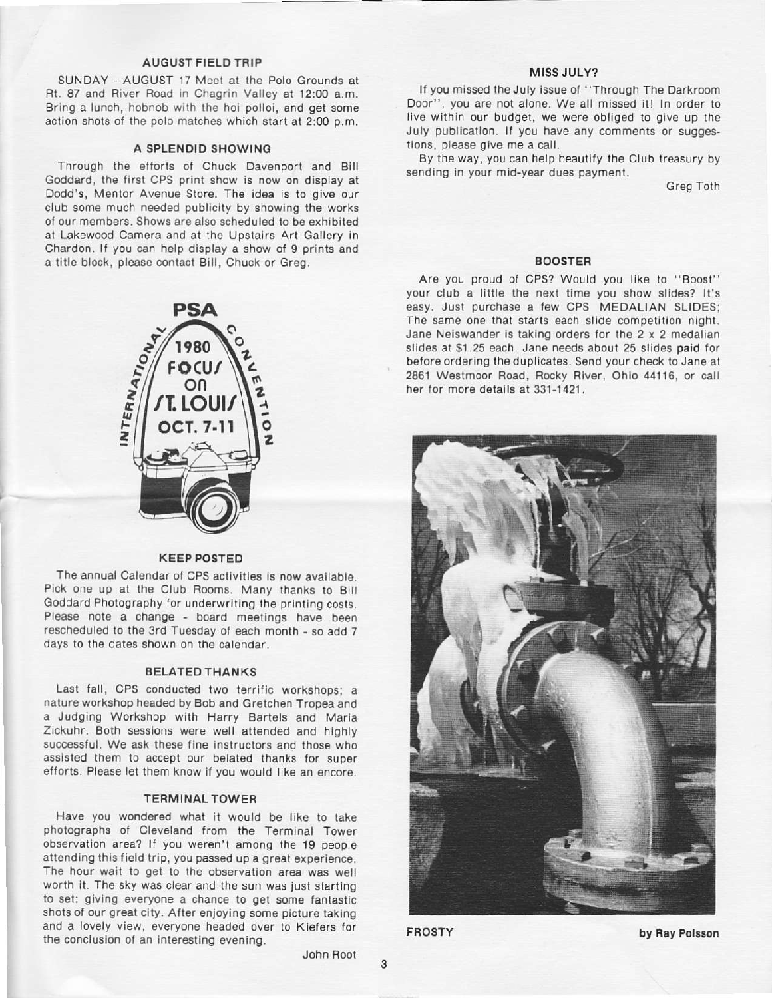#### **AUGUST FIELD TRIP**

SUNDAY - AUGUST 17 Meet at the Polo Grounds at Rt. 87 and River Road in Chagrin Valley at 12:00 a.m. Bring a lunch, hobnob with the hoi polloi, and get some action shots of the polo matches which start at 2:00 p.m.

#### A SPLENDID SHOWING

Through the efforts of Chuck Davenport and Bill Goddard, the first CPS print show is now on display at Dodd's, Mentor Avenue Store. The idea is to give our club some much needed publicity by showing the works of our members. Shows are also scheduled to be exhibited at Lakewood Camera and at the Upstairs Art Gallery in Chardon. If you can help display a show of 9 prints and a title block, please contact Bill, Chuck or Greg.



#### **KEEP POSTED**

The annual Calendar of CPS activities is now available. Pick one up at the Club Rooms. Many thanks to Bill Goddard Photography for underwriting the printing costs. Please note a change - board meetings have been rescheduled to the 3rd Tuesday of each month - so add 7 days to the dates shown on the calendar.

#### **BELATED THANKS**

Last fall, CPS conducted two terrific workshops: a nature workshop headed by Bob and Gretchen Tropea and a Judging Workshop with Harry Bartels and Maria Zickuhr. Both sessions were well attended and highly successful. We ask these fine instructors and those who assisted them to accept our belated thanks for super efforts. Please let them know if you would like an encore.

#### **TERMINAL TOWER**

Have you wondered what it would be like to take photographs of Cleveland from the Terminal Tower observation area? If you weren't among the 19 people attending this field trip, you passed up a great experience. The hour wait to get to the observation area was well worth it. The sky was clear and the sun was just starting to set: giving everyone a chance to get some fantastic shots of our great city. After enjoying some picture taking and a lovely view, everyone headed over to Kiefers for the conclusion of an interesting evening.

John Root

#### MISS JULY?

If you missed the July issue of "Through The Darkroom Door", you are not alone. We all missed it! In order to live within our budget, we were obliged to give up the July publication. If you have any comments or suggestions, please give me a call.

By the way, you can help beautify the Club treasury by sending in your mid-year dues payment.

**Greg Toth** 

#### **BOOSTER**

Are you proud of CPS? Would you like to "Boost" your club a little the next time you show slides? It's easy. Just purchase a few CPS MEDALIAN SLIDES; The same one that starts each slide competition night. Jane Neiswander is taking orders for the 2 x 2 medalian slides at \$1.25 each. Jane needs about 25 slides paid for before ordering the duplicates. Send your check to Jane at 2861 Westmoor Road, Rocky River, Ohio 44116, or call her for more details at 331-1421.



**FROSTY** 

3

by Ray Poisson